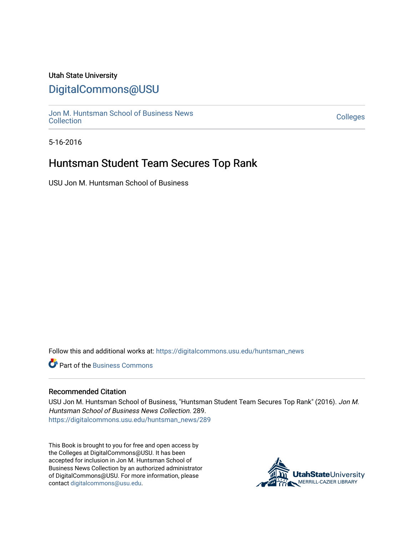### Utah State University

# [DigitalCommons@USU](https://digitalcommons.usu.edu/)

[Jon M. Huntsman School of Business News](https://digitalcommons.usu.edu/huntsman_news)  Soft M. Huntsman School of Business News<br>[Collection](https://digitalcommons.usu.edu/huntsman_news) Colleges

5-16-2016

## Huntsman Student Team Secures Top Rank

USU Jon M. Huntsman School of Business

Follow this and additional works at: [https://digitalcommons.usu.edu/huntsman\\_news](https://digitalcommons.usu.edu/huntsman_news?utm_source=digitalcommons.usu.edu%2Fhuntsman_news%2F289&utm_medium=PDF&utm_campaign=PDFCoverPages) 

**C** Part of the [Business Commons](http://network.bepress.com/hgg/discipline/622?utm_source=digitalcommons.usu.edu%2Fhuntsman_news%2F289&utm_medium=PDF&utm_campaign=PDFCoverPages)

#### Recommended Citation

USU Jon M. Huntsman School of Business, "Huntsman Student Team Secures Top Rank" (2016). Jon M. Huntsman School of Business News Collection. 289. [https://digitalcommons.usu.edu/huntsman\\_news/289](https://digitalcommons.usu.edu/huntsman_news/289?utm_source=digitalcommons.usu.edu%2Fhuntsman_news%2F289&utm_medium=PDF&utm_campaign=PDFCoverPages) 

This Book is brought to you for free and open access by the Colleges at DigitalCommons@USU. It has been accepted for inclusion in Jon M. Huntsman School of Business News Collection by an authorized administrator of DigitalCommons@USU. For more information, please contact [digitalcommons@usu.edu](mailto:digitalcommons@usu.edu).